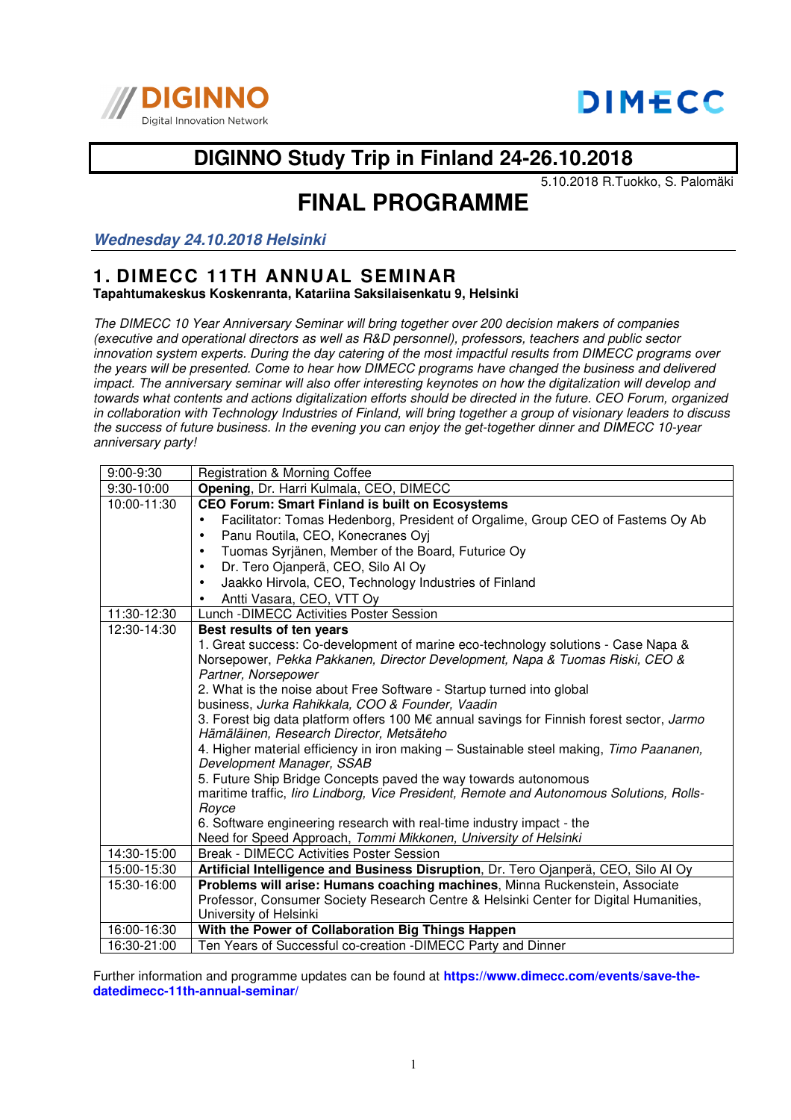



# **DIGINNO Study Trip in Finland 24-26.10.2018**

5.10.2018 R.Tuokko, S. Palomäki

# **FINAL PROGRAMME**

**Wednesday 24.10.2018 Helsinki** 

#### **1. DIMECC 11TH ANNUAL SEMINAR Tapahtumakeskus Koskenranta, Katariina Saksilaisenkatu 9, Helsinki**

The DIMECC 10 Year Anniversary Seminar will bring together over 200 decision makers of companies (executive and operational directors as well as R&D personnel), professors, teachers and public sector innovation system experts. During the day catering of the most impactful results from DIMECC programs over the years will be presented. Come to hear how DIMECC programs have changed the business and delivered impact. The anniversary seminar will also offer interesting keynotes on how the digitalization will develop and towards what contents and actions digitalization efforts should be directed in the future. CEO Forum, organized in collaboration with Technology Industries of Finland, will bring together a group of visionary leaders to discuss the success of future business. In the evening you can enjoy the get-together dinner and DIMECC 10-year anniversary party!

| $9:00-9:30$ | Registration & Morning Coffee                                                                                                         |
|-------------|---------------------------------------------------------------------------------------------------------------------------------------|
| 9:30-10:00  | Opening, Dr. Harri Kulmala, CEO, DIMECC                                                                                               |
| 10:00-11:30 | <b>CEO Forum: Smart Finland is built on Ecosystems</b>                                                                                |
|             | Facilitator: Tomas Hedenborg, President of Orgalime, Group CEO of Fastems Oy Ab<br>$\bullet$                                          |
|             | Panu Routila, CEO, Konecranes Oyj<br>$\bullet$                                                                                        |
|             | Tuomas Syrjänen, Member of the Board, Futurice Oy<br>$\bullet$                                                                        |
|             | Dr. Tero Ojanperä, CEO, Silo Al Oy<br>$\bullet$                                                                                       |
|             | Jaakko Hirvola, CEO, Technology Industries of Finland<br>$\bullet$                                                                    |
|             | Antti Vasara, CEO, VTT Oy<br>$\bullet$                                                                                                |
| 11:30-12:30 | Lunch - DIMECC Activities Poster Session                                                                                              |
| 12:30-14:30 | Best results of ten years                                                                                                             |
|             | 1. Great success: Co-development of marine eco-technology solutions - Case Napa &                                                     |
|             | Norsepower, Pekka Pakkanen, Director Development, Napa & Tuomas Riski, CEO &                                                          |
|             | Partner, Norsepower                                                                                                                   |
|             | 2. What is the noise about Free Software - Startup turned into global                                                                 |
|             | business, Jurka Rahikkala, COO & Founder, Vaadin                                                                                      |
|             | 3. Forest big data platform offers 100 M€ annual savings for Finnish forest sector, Jarmo<br>Hämäläinen, Research Director, Metsäteho |
|             | 4. Higher material efficiency in iron making - Sustainable steel making, Timo Paananen,<br>Development Manager, SSAB                  |
|             | 5. Future Ship Bridge Concepts paved the way towards autonomous                                                                       |
|             | maritime traffic, liro Lindborg, Vice President, Remote and Autonomous Solutions, Rolls-                                              |
|             | Royce                                                                                                                                 |
|             | 6. Software engineering research with real-time industry impact - the                                                                 |
|             | Need for Speed Approach, Tommi Mikkonen, University of Helsinki                                                                       |
| 14:30-15:00 | <b>Break - DIMECC Activities Poster Session</b>                                                                                       |
| 15:00-15:30 | Artificial Intelligence and Business Disruption, Dr. Tero Ojanperä, CEO, Silo Al Oy                                                   |
| 15:30-16:00 | Problems will arise: Humans coaching machines, Minna Ruckenstein, Associate                                                           |
|             | Professor, Consumer Society Research Centre & Helsinki Center for Digital Humanities,                                                 |
|             | University of Helsinki                                                                                                                |
| 16:00-16:30 | With the Power of Collaboration Big Things Happen                                                                                     |
| 16:30-21:00 | Ten Years of Successful co-creation -DIMECC Party and Dinner                                                                          |

Further information and programme updates can be found at **https://www.dimecc.com/events/save-thedatedimecc-11th-annual-seminar/**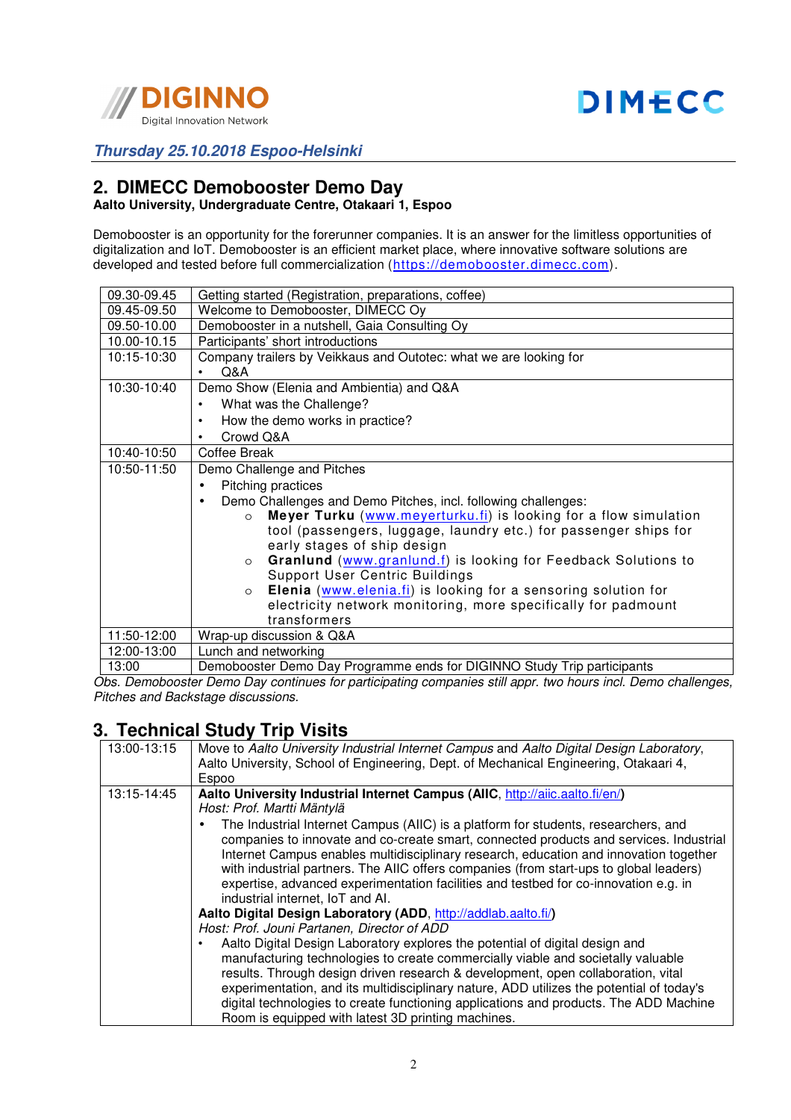

### **Thursday 25.10.2018 Espoo-Helsinki**

# **2. DIMECC Demobooster Demo Day**

### **Aalto University, Undergraduate Centre, Otakaari 1, Espoo**

Demobooster is an opportunity for the forerunner companies. It is an answer for the limitless opportunities of digitalization and IoT. Demobooster is an efficient market place, where innovative software solutions are developed and tested before full commercialization (https://demobooster.dimecc.com).

| 09.30-09.45 | Getting started (Registration, preparations, coffee)                        |
|-------------|-----------------------------------------------------------------------------|
| 09.45-09.50 | Welcome to Demobooster, DIMECC Oy                                           |
| 09.50-10.00 | Demobooster in a nutshell, Gaia Consulting Oy                               |
| 10.00-10.15 | Participants' short introductions                                           |
| 10:15-10:30 | Company trailers by Veikkaus and Outotec: what we are looking for           |
|             | Q&A<br>$\bullet$                                                            |
| 10:30-10:40 | Demo Show (Elenia and Ambientia) and Q&A                                    |
|             | What was the Challenge?<br>$\bullet$                                        |
|             | How the demo works in practice?<br>$\bullet$                                |
|             | Crowd Q&A<br>$\bullet$                                                      |
| 10:40-10:50 | Coffee Break                                                                |
| 10:50-11:50 | Demo Challenge and Pitches                                                  |
|             | Pitching practices<br>$\bullet$                                             |
|             | Demo Challenges and Demo Pitches, incl. following challenges:<br>$\bullet$  |
|             | Meyer Turku (www.meyerturku.fi) is looking for a flow simulation<br>$\circ$ |
|             | tool (passengers, luggage, laundry etc.) for passenger ships for            |
|             | early stages of ship design                                                 |
|             | Granlund (www.granlund.f) is looking for Feedback Solutions to<br>$\Omega$  |
|             | Support User Centric Buildings                                              |
|             | Elenia (www.elenia.fi) is looking for a sensoring solution for<br>$\circ$   |
|             | electricity network monitoring, more specifically for padmount              |
|             | transformers                                                                |
| 11:50-12:00 | Wrap-up discussion & Q&A                                                    |
| 12:00-13:00 | Lunch and networking                                                        |
| 13:00       | Demobooster Demo Day Programme ends for DIGINNO Study Trip participants     |

Obs. Demobooster Demo Day continues for participating companies still appr. two hours incl. Demo challenges, Pitches and Backstage discussions.

## **3. Technical Study Trip Visits**

| 13:00-13:15 | Move to Aalto University Industrial Internet Campus and Aalto Digital Design Laboratory,<br>Aalto University, School of Engineering, Dept. of Mechanical Engineering, Otakaari 4,<br>Espoo                                                                                                                                                                                                                                                                                                                                                                                                                                                                                                                                                                                                                                                                                                                                                                                                                                                                                                                                                                                                                                    |
|-------------|-------------------------------------------------------------------------------------------------------------------------------------------------------------------------------------------------------------------------------------------------------------------------------------------------------------------------------------------------------------------------------------------------------------------------------------------------------------------------------------------------------------------------------------------------------------------------------------------------------------------------------------------------------------------------------------------------------------------------------------------------------------------------------------------------------------------------------------------------------------------------------------------------------------------------------------------------------------------------------------------------------------------------------------------------------------------------------------------------------------------------------------------------------------------------------------------------------------------------------|
| 13:15-14:45 | Aalto University Industrial Internet Campus (AIIC, http://aiic.aalto.fi/en/)<br>Host: Prof. Martti Mäntylä<br>The Industrial Internet Campus (AIIC) is a platform for students, researchers, and<br>companies to innovate and co-create smart, connected products and services. Industrial<br>Internet Campus enables multidisciplinary research, education and innovation together<br>with industrial partners. The AIIC offers companies (from start-ups to global leaders)<br>expertise, advanced experimentation facilities and testbed for co-innovation e.g. in<br>industrial internet, IoT and AI.<br>Aalto Digital Design Laboratory (ADD, http://addlab.aalto.fi/)<br>Host: Prof. Jouni Partanen, Director of ADD<br>Aalto Digital Design Laboratory explores the potential of digital design and<br>manufacturing technologies to create commercially viable and societally valuable<br>results. Through design driven research & development, open collaboration, vital<br>experimentation, and its multidisciplinary nature, ADD utilizes the potential of today's<br>digital technologies to create functioning applications and products. The ADD Machine<br>Room is equipped with latest 3D printing machines. |
|             |                                                                                                                                                                                                                                                                                                                                                                                                                                                                                                                                                                                                                                                                                                                                                                                                                                                                                                                                                                                                                                                                                                                                                                                                                               |